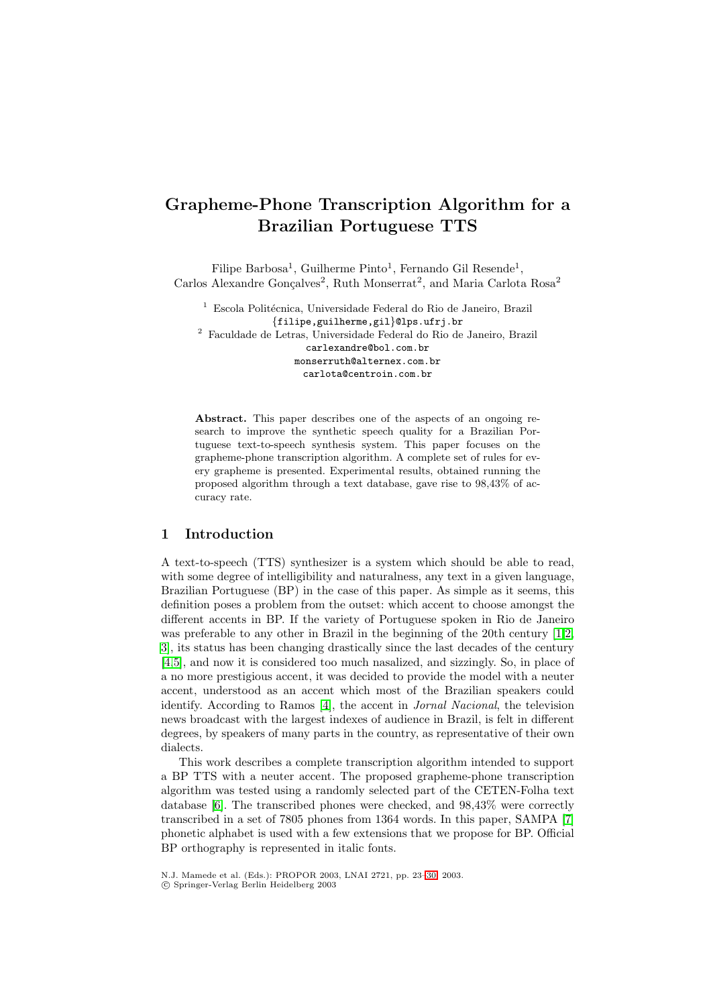# **Grapheme-Phone Transcription Algorithm for a Brazilian Portuguese TTS**

Filipe Barbosa<sup>1</sup>, Guilherme Pinto<sup>1</sup>, Fernando Gil Resende<sup>1</sup>, Carlos Alexandre Gonçalves<sup>2</sup>, Ruth Monserrat<sup>2</sup>, and Maria Carlota Rosa<sup>2</sup>

 $1$  Escola Politécnica, Universidade Federal do Rio de Janeiro, Brazil {filipe,guilherme,gil}@lps.ufrj.br <sup>2</sup> Faculdade de Letras, Universidade Federal do Rio de Janeiro, Brazil carlexandre@bol.com.br monserruth@alternex.com.br carlota@centroin.com.br

Abstract. This paper describes one of the aspects of an ongoing research to improve the synthetic speech quality for a Brazilian Portuguese text-to-speech synthesis system. This paper focuses on the grapheme-phone transcription algorithm. A complete set of rules for every grapheme is presented. Experimental results, obtained running the proposed algorithm through a text database, gave rise to 98,43% of accuracy rate.

### **1 Introduction**

A text-to-speech (TTS) synthesizer is a system which should be able to read, with some degree of intelligibility and naturalness, any text in a given language, Brazilian Portuguese (BP) in the case of this paper. As simple as it seems, this definition poses a problem from the outset: which accent to choose amongst the different accents in BP. If the variety of Portuguese spoken in Rio de Janeiro was preferable to any other in Brazil in the beginning of the 20th century [\[1,2,](#page-7-0) [3\]](#page-7-0), its status has been changing drastically since the last decades of the century [\[4,5\]](#page-7-0), and now it is considered too much nasalized, and sizzingly. So, in place of a no more prestigious accent, it was decided to provide the model with a neuter accent, understood as an accent which most of the Brazilian speakers could identify. According to Ramos [\[4\]](#page-7-0), the accent in *Jornal Nacional*, the television news broadcast with the largest indexes of audience in Brazil, is felt in different degrees, by speakers of many parts in the country, as representative of their own dialects.

This work describes a complete transcription algorithm intended to support a BP TTS with a neuter accent. The proposed grapheme-phone transcription algorithm was tested using a randomly selected part of the CETEN-Folha text database [\[6\]](#page-7-0). The transcribed phones were checked, and 98,43% were correctly transcribed in a set of 7805 phones from 1364 words. In this paper, SAMPA [\[7\]](#page-7-0) phonetic alphabet is used with a few extensions that we propose for BP. Official BP orthography is represented in italic fonts.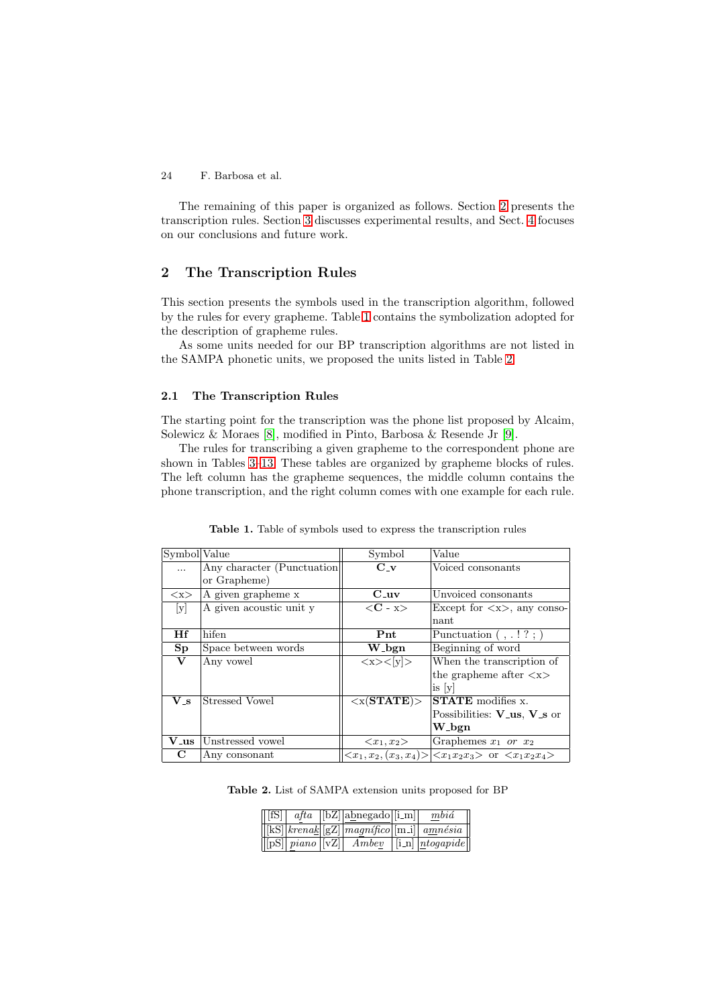The remaining of this paper is organized as follows. Section 2 presents the transcription rules. Section [3](#page-6-0) discusses experimental results, and Sect. [4](#page-7-0) focuses on our conclusions and future work.

## **2 The Transcription Rules**

This section presents the symbols used in the transcription algorithm, followed by the rules for every grapheme. Table 1 contains the symbolization adopted for the description of grapheme rules.

As some units needed for our BP transcription algorithms are not listed in the SAMPA phonetic units, we proposed the units listed in Table 2.

#### **2.1 The Transcription Rules**

The starting point for the transcription was the phone list proposed by Alcaim, Solewicz & Moraes [\[8\]](#page-7-0), modified in Pinto, Barbosa & Resende Jr [\[9\]](#page-7-0).

The rules for transcribing a given grapheme to the correspondent phone are shown in Tables [3–](#page-2-0)[13.](#page-6-0) These tables are organized by grapheme blocks of rules. The left column has the grapheme sequences, the middle column contains the phone transcription, and the right column comes with one example for each rule.

| Symbol Value               |                             | Symbol                                 | Value                                                      |
|----------------------------|-----------------------------|----------------------------------------|------------------------------------------------------------|
| $\cdots$                   | Any character (Punctuation) | $C_{V}$                                | Voiced consonants                                          |
|                            | or Grapheme)                |                                        |                                                            |
| &>                         | A given grapheme x          | $C_{-}uv$                              | Unvoiced consonants                                        |
| y                          | A given acoustic unit y     | $\langle C - x \rangle$                | Except for $\langle x \rangle$ , any conso-                |
|                            |                             |                                        | nant                                                       |
| Hf                         | hifen                       | $\bf{Pnt}$                             | Punctuation $( , ? ; )$                                    |
| Sp                         | Space between words         | W_bgn                                  | Beginning of word                                          |
| V                          | Any vowel                   | <x>&lt; y &gt;</x>                     | When the transcription of                                  |
|                            |                             |                                        | the grapheme after $\langle x \rangle$                     |
|                            |                             |                                        | is [y]                                                     |
| $\mathbf{V}_{-}\mathbf{s}$ | Stressed Vowel              | $\overline{<}x(STATE)$                 | <b>STATE</b> modifies x.                                   |
|                            |                             |                                        | Possibilities: $V_{\text{us}}$ , $V_{\text{s}}$ or         |
|                            |                             |                                        | W_bgn                                                      |
| V_us                       | Unstressed vowel            | $\langle x_1, x_2 \rangle$             | Graphemes $x_1$ or $x_2$                                   |
| C                          | Any consonant               | $\langle x_1, x_2, (x_3, x_4) \rangle$ | $\langle x_1x_2x_3 \rangle$ or $\langle x_1x_2x_4 \rangle$ |

**Table 1.** Table of symbols used to express the transcription rules

**Table 2.** List of SAMPA extension units proposed for BP

| $\parallel$ [fS] |  | $\overline{\alpha}$ fta [bZ  abnegado [i_m] | $mbi\acute{a}$                                                                                      |
|------------------|--|---------------------------------------------|-----------------------------------------------------------------------------------------------------|
|                  |  |                                             | $\vert\vert\vert$ [kS]   krena <u>k</u> [gZ]   magnífico   [m_i]   amnésia                          |
|                  |  |                                             | $\vert\vert [pS]\vert$ piano $\vert [vZ]\vert$ Ambey $\vert\vert [i_n]\vert$ ntogapide $\vert\vert$ |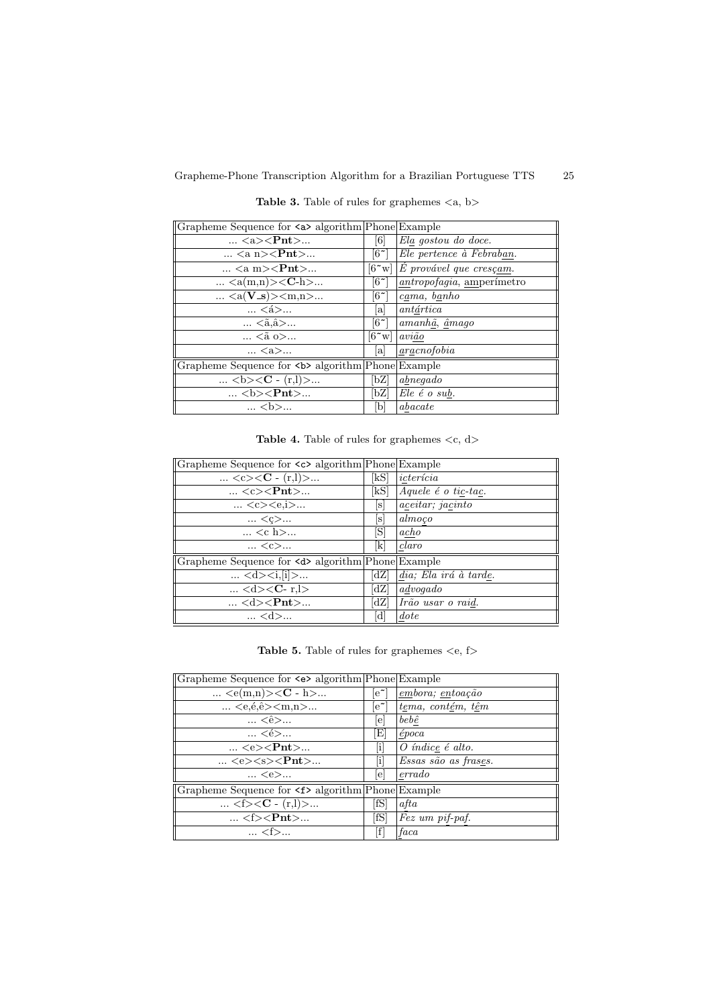<span id="page-2-0"></span>

| Grapheme Sequence for <b><a></a></b> algorithm Phone Example |               |                                         |
|--------------------------------------------------------------|---------------|-----------------------------------------|
| $\langle a \rangle \langle Pnt \rangle$                      | [6]           | Ela gostou do doce.                     |
| $\langle a \ n \rangle \langle \text{Pnt} \rangle$           | $ 6^{\sim} $  | Ele pertence à Febraban.                |
| $\langle a \, m \rangle \langle Pnt \rangle$                 |               | $[6\text{``w}]$ E provável que cresçam. |
| $\langle a(m,n)\rangle \langle C-h\rangle$                   | $ 6^{\sim} $  | <i>antropofagia</i> , amperímetro       |
| $\ldots$ <a(v_s)> <m,n><math>\ldots</math></m,n></a(v_s)>    | $[6^{\sim}]$  | cama, banho                             |
| $ \lt 25$                                                    | $ {\rm a} $   | antártica                               |
| $\ldots \langle \tilde{a}, \hat{a} \rangle \ldots$           | $ 6^{\sim} $  | amanhã, âmago                           |
| $\ldots$ <a o=""></a>                                        | $6^{\sim}$ w] | $avi\tilde{a}o$                         |
| $\dots \le a$                                                | a             | aracnofobia                             |
| Grapheme Sequence for <b> algorithm Phone Example</b>        |               |                                         |
| $\langle b \rangle \langle C - (r, l) \rangle$               | bZ            | abneqado                                |
| $\dots$ <b><pnt><math>\dots</math></pnt></b>                 | [bZ]          | $Ele \epsilon$ o sub.                   |
| <b>bb</b>                                                    | $ {\bf b} $   | abacate                                 |

**Table 3.** Table of rules for graphemes  $\langle a, b \rangle$ 

**Table 4.** Table of rules for graphemes <sup>&</sup>lt;c, d<sup>&</sup>gt;

| Grapheme Sequence for <c> algorithm Phone Example</c> |             |                         |
|-------------------------------------------------------|-------------|-------------------------|
| $<<\mathbf{C}$ - $(r, l)$                             | kS          | icterícia               |
| $\ldots$ <c><pnt><math>\ldots</math></pnt></c>        | kS          | Aquele é o tic-tac.     |
| $<$                                                   | $ {\bf s} $ | $a$ ceitar; j $a$ cinto |
| $<<\geq$                                              | s           | almoço                  |
| $<$ c h $>$                                           | [S]         | acho                    |
| $<$                                                   | k           | claro                   |
| Grapheme Sequence for <d> algorithm Phone Example</d> |             |                         |
| <d><i,[i]></i,[i]></d>                                | dZ          | dia; Ela irá à tarde.   |
| <d>&lt;<math>C- r,l</math>&gt;</d>                    | dZ          | advoqado                |
| $<\!\!\mathrm{d}\!\!><\!\!P{\text{nt}}\!\!>$          | dZ          | Irão usar o raid.       |
| < d >                                                 | d           | dote                    |

**Table 5.** Table of rules for graphemes <sup>&</sup>lt;e, f<sup>&</sup>gt;

| Grapheme Sequence for <b><e></e></b> algorithm Phone Example |              |                      |
|--------------------------------------------------------------|--------------|----------------------|
| $\langle e(m,n)\rangle \langle C - h \rangle$                | $ e^{\sim} $ | embora; entoação     |
| $\langle e,\hat{e},\hat{e}\rangle \langle m,n\rangle$        | $ e^{\sim} $ | tema, contém, têm    |
| $\ldots$ < $\hat{e}$ > $\ldots$                              | lel          | $beb\hat{e}$         |
| $ < \epsilon$ >                                              | EI           | época                |
| $\ldots$ <e><pnt><math>\ldots</math></pnt></e>               | ΙiΙ          | $O$ índice é alto.   |
| $\langle e \rangle \langle s \rangle \langle Pnt \rangle$    | ΙiΙ          | Essas são as frases. |
| < e >                                                        | lel          | errado               |
| Grapheme Sequence for <f> algorithm Phone Example</f>        |              |                      |
| < f > < C - $(r, l)$ >                                       | lfSl         | afta                 |
| $\ldots$ <f><pnt><math>\ldots</math></pnt></f>               | [fS]         | Fez um pif-paf.      |
| … <f>…</f>                                                   | Ħ            | faca                 |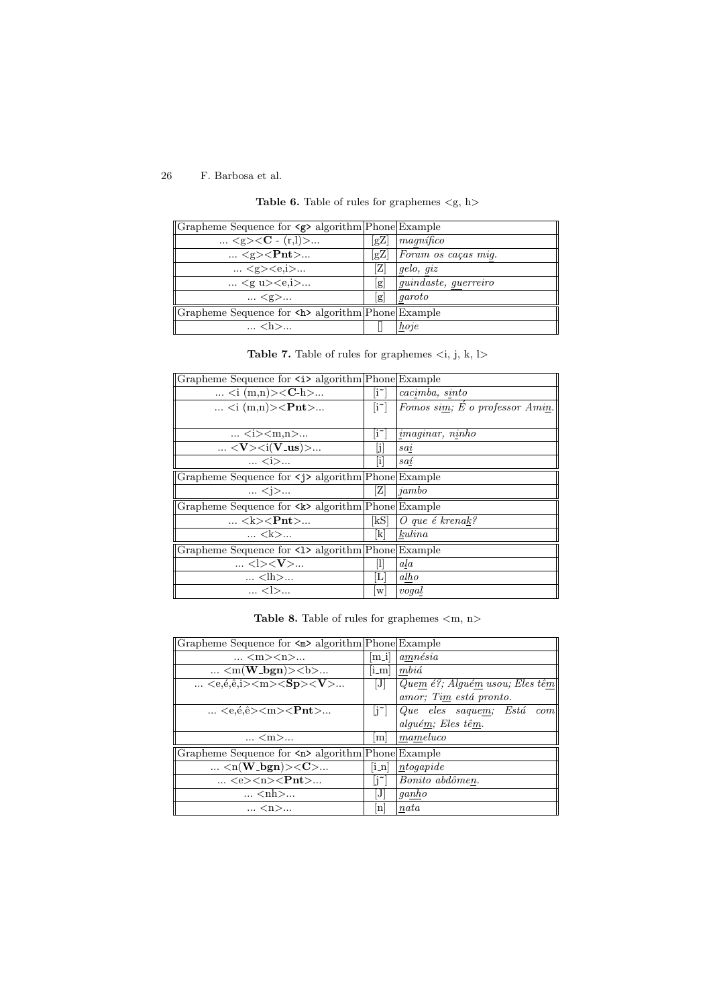<span id="page-3-0"></span>

| Grapheme Sequence for <g> algorithm Phone Example</g>                      |     |                               |
|----------------------------------------------------------------------------|-----|-------------------------------|
| $\langle g \rangle \langle C - (r, l) \rangle$                             | gZ  | magnifico                     |
| $\langle g \rangle \langle Pnt \rangle$                                    | gZ  | Foram os caças mig.           |
| $\langle g \rangle \langle e, i \rangle$                                   | ΙZΙ | gelo, giz                     |
| $\langle g \ u \rangle \langle e, i \rangle$                               | g   | $\boxed{guidaste, guerreiro}$ |
| $\langle g \rangle$                                                        | g   | garoto                        |
| $\Gamma$ Grapheme Sequence for $\langle h \rangle$ algorithm Phone Example |     |                               |
| $\langle h \rangle$                                                        |     | hoje                          |

**Table 6.** Table of rules for graphemes  $<\mathbf{g},\mathbf{h}>$ 

 ${\bf Table}$   ${\bf 7.}$  Table of rules for graphemes  $<\!\!{\rm i},$   ${\rm j},$   ${\rm k},$   ${\rm l}\!\!>$ 

| $ G$ rapheme Sequence for $\langle i \rangle$ algorithm Phone Example |                                    |                                   |
|-----------------------------------------------------------------------|------------------------------------|-----------------------------------|
| $\langle i   (m,n) \rangle \langle C-h \rangle$                       | $[i^{\star}]$                      | $cacimba, \, sinto$               |
| $\langle i   (m,n) \rangle \langle Pnt \rangle$                       | $\lceil i^{\sim} \rceil$           | Fomos $sim$ ; É o professor Amin. |
|                                                                       |                                    |                                   |
| $\langle i \rangle \langle m,n \rangle$                               | $[i^{\star}]$                      | <i>imaginar</i> , <i>ninho</i>    |
| $\ldots$ <v><i(v_us)><math>\ldots</math></i(v_us)></v>                |                                    | $s a \imath$                      |
| $\ldots$ <i><math>\ldots</math></i>                                   | $\vert$ i $\vert$                  | $s$ <i>a</i>                      |
| Grapheme Sequence for <j> algorithm Phone Example</j>                 |                                    |                                   |
| $\langle i \rangle$                                                   | $\left\vert \mathrm{Z}\right\vert$ | jambo                             |
| Grapheme Sequence for <k> algorithm Phone Example</k>                 |                                    |                                   |
| $<\kappa><$ Pnt $>$                                                   | [kS]                               | O que é krenak?                   |
| < k >                                                                 | k                                  | kulina                            |
| Grapheme Sequence for <1> algorithm Phone Example                     |                                    |                                   |
| $\ldots$ <l><v><math>\ldots</math></v></l>                            | Ш                                  | ala                               |
| $ <$ lh>                                                              | $ \mathbf{L} $                     | alho                              |
| $\ldots$ <1> $\ldots$                                                 | W                                  | voqal                             |

 ${\bf Table\ 8.}$  Table of rules for graphemes  $<\!\!m, \, n\!\!>$ 

| $\Gamma$ Grapheme Sequence for $\langle m \rangle$ algorithm Phone Example                      |                     |                                                     |
|-------------------------------------------------------------------------------------------------|---------------------|-----------------------------------------------------|
| $\langle m \rangle \langle n \rangle$                                                           | $[m_i]$             | amnésia                                             |
| $\langle m(W \text{log} n) \rangle \langle b \rangle$                                           | $[i_m]$             | $mbi\acute{a}$                                      |
| $\langle e, \hat{e}, \hat{e}, i \rangle \langle m \rangle \langle Sp \rangle \langle V \rangle$ | J                   | Quem é?; Alquém usou; Eles têm                      |
|                                                                                                 |                     | amor; Tim está pronto.                              |
| $\langle e.\hat{e}.\hat{e}\rangle \langle m \rangle \langle \text{Pnt} \rangle$                 | $ i^{\sim} $        | $ Que \telse \tspace = \telse \t4$ saquem; Está com |
|                                                                                                 |                     | alquém; Eles têm.                                   |
| $$ $\langle m \rangle $                                                                         | m                   | mameluco                                            |
| Grapheme Sequence for <n> algorithm Phone Example</n>                                           |                     |                                                     |
| $\langle n(W \text{-bgn}) \rangle \langle C \rangle$                                            | $\vert$ i_n $\vert$ | ntogapide                                           |
| $\langle e \rangle \langle n \rangle \langle Pnt \rangle$                                       | $[i^{\sim}]$        | Bonito abdômen.                                     |
| $\langle nh \rangle$                                                                            | IJ                  | ganho                                               |
| $\langle n \rangle$                                                                             | Inl                 | nata                                                |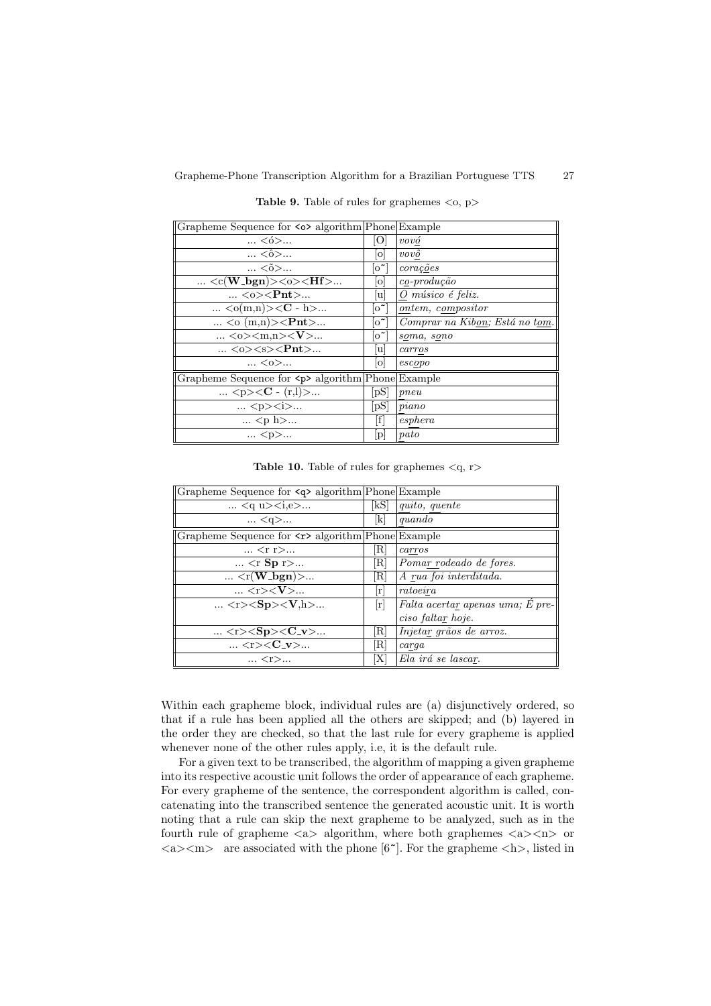| Grapheme Sequence for <o> algorithm Phone Example</o>            |                                        |                                |
|------------------------------------------------------------------|----------------------------------------|--------------------------------|
| $<\!\!\acute{\text{o}}\!\!>$                                     | ЮI                                     | $vov\acute{o}$                 |
| $\ldots \langle \hat{0} \rangle$                                 | O                                      | $vov\ddot{o}$                  |
| $\ldots$ < $\tilde{Q}$ > $\ldots$                                | $\circ$ $\circ$ $\circ$                | $corac\tilde{o}es$             |
| < c(W_bgn)>< $o$ > <hf></hf>                                     | $ \mathbf{o} $                         | $co$ -produção                 |
| $\langle 0 \rangle \langle \text{Pnt} \rangle$                   | u                                      | O músico é feliz.              |
| < $\langle o(m,n) \rangle < C$ - h >                             | $ 0^{\sim} $                           | ontem, compositor              |
| < o $(m,n)$ > <pnt></pnt>                                        | $\circ$ <sup><math>\circ</math></sup>  | Comprar na Kibon; Está no tom. |
| <o><m,n>&lt;<math>V</math>&gt;</m,n></o>                         | $\circ$ ~                              | soma, sono                     |
| $\langle 0 \rangle \langle s \rangle \langle \text{Pnt} \rangle$ | u                                      | carros                         |
| $\dots \leq 0$                                                   | $ \mathbf{o} $                         | escopo                         |
| Grapheme Sequence for <p> algorithm Phone Example</p>            |                                        |                                |
| $\langle p \rangle \langle C - (r, l) \rangle$                   | $ {\rm pS} $                           | pnew                           |
| $\ldots$ <p><i><math>\ldots</math></i></p>                       | $\left\lceil \mathrm{pS} \right\rceil$ | piano                          |
| $\ldots$ <p <math="" h="">\geq</p>                               | f                                      | $e$ sphera                     |
| ${<}p$                                                           | $ {\rm p} $                            | pato                           |

**Table 9.** Table of rules for graphemes  $\langle 0, p \rangle$ 

**Table 10.** Table of rules for graphemes  $\langle q, r \rangle$ 

| Grapheme Sequence for <q> algorithm Phone Example</q>                               |                          |                                  |
|-------------------------------------------------------------------------------------|--------------------------|----------------------------------|
| $\langle q \, u \rangle \langle i,e \rangle$                                        | kS                       | quito, quente                    |
| $\langle q \rangle$                                                                 | $\vert \mathrm{k} \vert$ | quando                           |
| $\Gamma$ Grapheme Sequence for $\langle r \rangle$ algorithm Phone Example          |                          |                                  |
| $\langle$ r r>                                                                      | R                        | carros                           |
| $\ldots$ $\langle$ r Sp r $\rangle$                                                 | RI                       | Pomar rodeado de fores.          |
| $\langle \text{r}(\mathbf{W}_{\mathbf{-}} \mathbf{b}\mathbf{g} \mathbf{n}) \rangle$ | R                        | A rua foi interditada.           |
| $$ <r>&lt;<math>V</math>&gt;<math>\gtrsim</math></r>                                | r                        | rateeira                         |
| <r>&gt; <s>&gt;<s>&gt;&lt;<br/>V,h&gt;</s></s></r>                                  | r                        | Falta acertar apenas uma; E pre- |
|                                                                                     |                          | ciso faltar hoje.                |
| $\langle r \rangle \langle Sp \rangle \langle C_v \rangle$                          | R                        | Injetar grãos de arroz.          |
| <r>&gt; &lt;<math>C_v</math> -<math>v</math></r>                                    | R                        | carga                            |
| <r></r>                                                                             | $ {\bf X} $              | Ela irá se lascar.               |

Within each grapheme block, individual rules are (a) disjunctively ordered, so that if a rule has been applied all the others are skipped; and (b) layered in the order they are checked, so that the last rule for every grapheme is applied whenever none of the other rules apply, i.e, it is the default rule.

For a given text to be transcribed, the algorithm of mapping a given grapheme into its respective acoustic unit follows the order of appearance of each grapheme. For every grapheme of the sentence, the correspondent algorithm is called, concatenating into the transcribed sentence the generated acoustic unit. It is worth noting that a rule can skip the next grapheme to be analyzed, such as in the fourth rule of grapheme  $\langle a \rangle$  algorithm, where both graphemes  $\langle a \rangle \langle n \rangle$  or  $\langle a \rangle$  are associated with the phone  $[6^{\degree}]$ . For the grapheme  $\langle h \rangle$ , listed in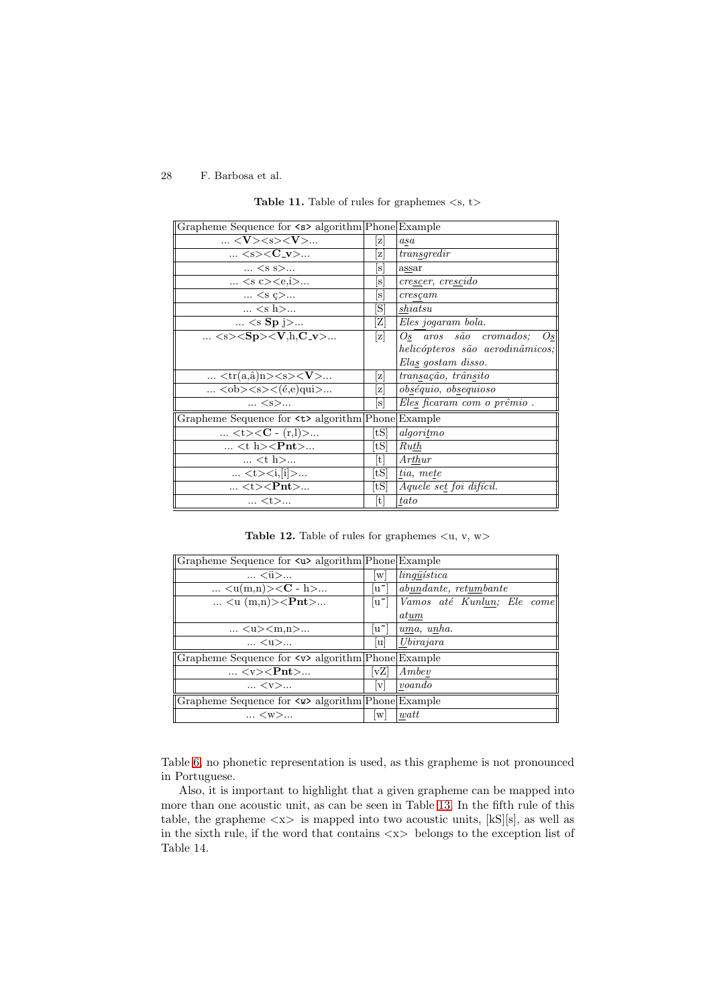| Grapheme Sequence for <s> algorithm Phone Example</s>                                                                      |                 |                                         |
|----------------------------------------------------------------------------------------------------------------------------|-----------------|-----------------------------------------|
| $ $ $<<$ s> $<<$ V $>$                                                                                                     | $\vert z \vert$ | as a                                    |
| $\langle s \rangle \langle C_{-}v \rangle$                                                                                 | Z               | transgredir                             |
| $$ $<$ s s $>$                                                                                                             | $ \mathbf{s} $  | assar                                   |
| $\langle s \rangle \langle e, i \rangle$                                                                                   | $ \mathbf{s} $  | crescer, crescido                       |
| $\langle s \rangle$                                                                                                        | s               | $c$ resçam                              |
| $<$ s h>                                                                                                                   | S               | shiatsu                                 |
| $\lt$ s Sp j>                                                                                                              | $ {\rm Z} $     | Eles jogaram bola.                      |
| $\langle s \rangle \langle Sp \rangle \langle V, h, C_v \rangle$                                                           | $ {\rm z} $     | Os aros são cromados;<br>$O_s$          |
|                                                                                                                            |                 | helicópteros são aerodinâmicos;         |
|                                                                                                                            |                 | Elas gostam disso.                      |
| $\langle \text{tr}(\mathbf{a}, \hat{\mathbf{a}}) \mathbf{n} \rangle \langle \mathbf{s} \rangle \langle \mathbf{V} \rangle$ | $\vert z \vert$ | $transa\zeta\tilde{a}o, tr\hat{a}nsito$ |
| $ob<>(e,e)qui2$                                                                                                            | $ \mathbf{z} $  | <i>obséquio, obsequioso</i>             |
| $ \leq S$                                                                                                                  | $ \mathbf{s} $  | Eles ficaram com o prêmio.              |
| Grapheme Sequence for <t> algorithm Phone Example</t>                                                                      |                 |                                         |
| < t > < C - $(r, l)$ >                                                                                                     | [tS]            | algoritmo                               |
| <t h="">&lt;<b>Pnt</b>&gt;</t>                                                                                             | tS              | Ruth                                    |
| $\ldots$ <t <math="" h="">\geq</t>                                                                                         | [t]             | Arthur                                  |
| <t><i,[i]></i,[i]></t>                                                                                                     | $ {\rm tS} $    | tia, mete                               |
| $lt>>Pnt>$                                                                                                                 | [tS]            | Aquele set foi difícil.                 |
| $\dots$ <t><math>\in</math></t>                                                                                            | $ {\rm t} $     | tato                                    |

**Table 11.** Table of rules for graphemes  $\langle s, t \rangle$ 

**Table 12.** Table of rules for graphemes  $\langle u, v, w \rangle$ 

| Grapheme Sequence for $\langle u \rangle$ algorithm Phone Example |              |                            |
|-------------------------------------------------------------------|--------------|----------------------------|
| $\langle ii \rangle$                                              | W            | lingüística                |
| $\langle u(m,n)\rangle \langle C - h \rangle$                     | $ u^{\sim} $ | abundance, retumbante      |
| <u <math="">(m,n)&gt;<pnt></pnt></u>                              | $ u^{\sim} $ | Vamos até Kunlun; Ele come |
|                                                                   |              | atum                       |
| $\langle u \rangle \langle m,n \rangle$                           | $ u^{\sim} $ | uma, uha.                  |
| $ \leq u$                                                         | u            | $L$ birajara               |
| Grapheme Sequence for <v> algorithm Phone Example</v>             |              |                            |
| $< v > Part > $                                                   | vZl          | Ambev                      |
| $\ldots$ $\langle v \rangle$                                      | v            | voando                     |
| Grapheme Sequence for <w> algorithm Phone Example</w>             |              |                            |
| $\dots \leq w$                                                    | W            | watt                       |

Table [6,](#page-3-0) no phonetic representation is used, as this grapheme is not pronounced in Portuguese.

Also, it is important to highlight that a given grapheme can be mapped into more than one acoustic unit, as can be seen in Table [13.](#page-6-0) In the fifth rule of this table, the grapheme  $\langle x \rangle$  is mapped into two acoustic units, [kS][s], as well as in the sixth rule, if the word that contains  $\langle x \rangle$  belongs to the exception list of Table 14.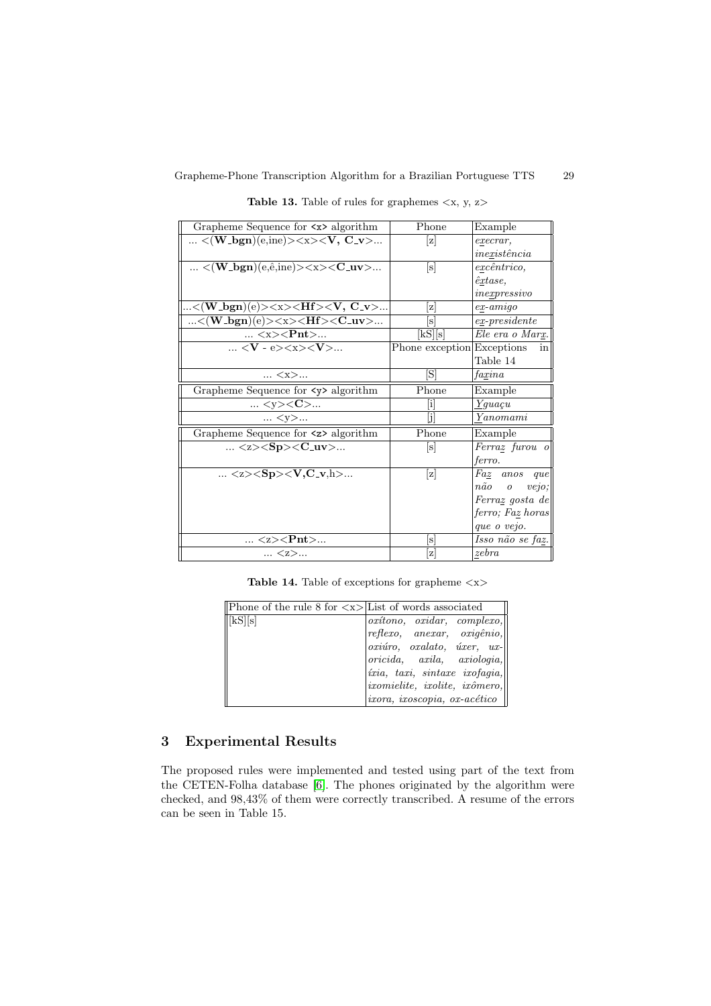<span id="page-6-0"></span>

| Grapheme Sequence for $\langle x \rangle$ algorithm                                                                 | Phone                        | Example                       |
|---------------------------------------------------------------------------------------------------------------------|------------------------------|-------------------------------|
| <( <b>W_bgn</b> )(e,ine)> <x>&lt;<b>V</b>, <b>C_v</b>&gt;</x>                                                       | $\left[ \mathrm{z} \right]$  | $\emph{execrar},$             |
|                                                                                                                     |                              | $inexist\hat{e}ncia$          |
| $\langle W_{\text{-}}bgn \rangle (e, \hat{e}, \text{ine}) \rangle \langle x \rangle \langle C_{\text{-}}uv \rangle$ | $\vert s \vert$              | excêntrico,                   |
|                                                                                                                     |                              | êxtase,                       |
|                                                                                                                     |                              | in expression                 |
| $\langle (W_{\neg}bgn)(e)\rangle \langle x\rangle \langle Hf\rangle \langle V, C_{\neg}v\rangle$                    | z                            | $ex\text{-}amigo$             |
| <(W_bgn)(e)> <x><hf><c_uv></c_uv></hf></x>                                                                          | $ \mathbf{s} $               | $ex\text{-}presidente$        |
| $Path$                                                                                                              | [kS][s]                      | Ele era o Marx.               |
| $ < V - e$ > $< x$ > $< V$ >                                                                                        | Phone exception Exceptions   | in                            |
|                                                                                                                     |                              | Table 14                      |
| $\dots$ $\langle x \rangle$                                                                                         | [S]                          | $\beta$ faxina                |
| Grapheme Sequence for $\langle y \rangle$ algorithm                                                                 | Phone                        | Example                       |
| $\langle y \rangle \langle C \rangle$                                                                               | $\left\lceil i \right\rceil$ | Yguaçu                        |
| $ \le y$                                                                                                            | $\overline{jj}$              | Yanomami                      |
| Grapheme Sequence for <z> algorithm</z>                                                                             | Phone                        | Example                       |
| $\langle z \rangle \langle Sp \rangle \langle C_{\text{-UV}} \rangle$                                               | [s]                          | Ferraz furou o                |
|                                                                                                                     |                              | ferro.                        |
| $\langle z \rangle \langle Sp \rangle \langle V, C_{V} \rangle$                                                     | $[\mathbf{z}]$               | $Fa\underline{z}$ anos<br>que |
|                                                                                                                     |                              | $n\tilde{a}o$ $o$<br>vejo;    |
|                                                                                                                     |                              | Ferraz gosta de               |
|                                                                                                                     |                              | ferro; Faz horas              |
|                                                                                                                     |                              | que o vejo.                   |
| $\ldots$ <z>&lt;<math>{\rm Pnt}</math>&gt;</z>                                                                      | s                            | Isso não se faz.              |
| $ \leq z$                                                                                                           | $\vert z \vert$              | zebra                         |

**Table 13.** Table of rules for graphemes  $\langle x, y, z \rangle$ 

**Table 14.** Table of exceptions for grapheme  $\langle x \rangle$ 

| Phone of the rule $8$ for $\langle x \rangle$   List of words associated |                                          |  |  |
|--------------------------------------------------------------------------|------------------------------------------|--|--|
| $\vert\vert$ [kS][s]                                                     | $oxítono, oxidar, complexo,$             |  |  |
|                                                                          | $ reflexo,$ anexar, oxigênio,            |  |  |
|                                                                          | oxiúro, oxalato, úxer, ux-               |  |  |
|                                                                          | $oricida, \quad axila, \quad axiologia,$ |  |  |
|                                                                          | $\vert$ íxia, taxi, sintaxe ixofagia,    |  |  |
|                                                                          | i xomieltte,~i xolite,~i xômero,         |  |  |
|                                                                          | $ixora, ixoscopia,  ox-acético$          |  |  |

## **3 Experimental Results**

The proposed rules were implemented and tested using part of the text from the CETEN-Folha database [\[6\]](#page-7-0). The phones originated by the algorithm were checked, and 98,43% of them were correctly transcribed. A resume of the errors can be seen in Table 15.